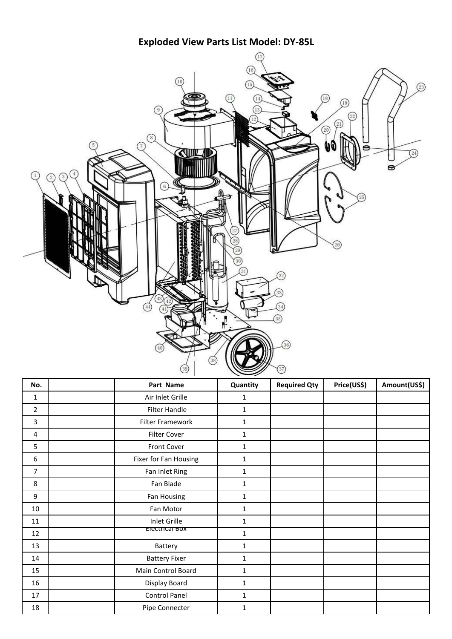**Exploded View Parts List Model: DY-85L**



| No.              | Part Name               | Quantity     | <b>Required Qty</b> | Price(US\$) | Amount(US\$) |
|------------------|-------------------------|--------------|---------------------|-------------|--------------|
| $\mathbf{1}$     | Air Inlet Grille        | $\mathbf{1}$ |                     |             |              |
| $\overline{2}$   | Filter Handle           | $\mathbf{1}$ |                     |             |              |
| 3                | <b>Filter Framework</b> | $\mathbf{1}$ |                     |             |              |
| $\overline{4}$   | Filter Cover            | $\mathbf{1}$ |                     |             |              |
| 5                | Front Cover             | 1            |                     |             |              |
| $\boldsymbol{6}$ | Fixer for Fan Housing   | 1            |                     |             |              |
| 7                | Fan Inlet Ring          | $\mathbf{1}$ |                     |             |              |
| 8                | Fan Blade               | $\mathbf{1}$ |                     |             |              |
| 9                | Fan Housing             | 1            |                     |             |              |
| 10               | Fan Motor               | $\mathbf{1}$ |                     |             |              |
| 11               | Inlet Grille            | $\mathbf{1}$ |                     |             |              |
| 12               | Electrical BOX          | $\mathbf{1}$ |                     |             |              |
| 13               | Battery                 | $\mathbf{1}$ |                     |             |              |
| 14               | <b>Battery Fixer</b>    | $\mathbf{1}$ |                     |             |              |
| 15               | Main Control Board      | $\mathbf{1}$ |                     |             |              |
| 16               | Display Board           | $\mathbf{1}$ |                     |             |              |
| $17\,$           | Control Panel           | $\mathbf{1}$ |                     |             |              |
| 18               | Pipe Connecter          | 1            |                     |             |              |